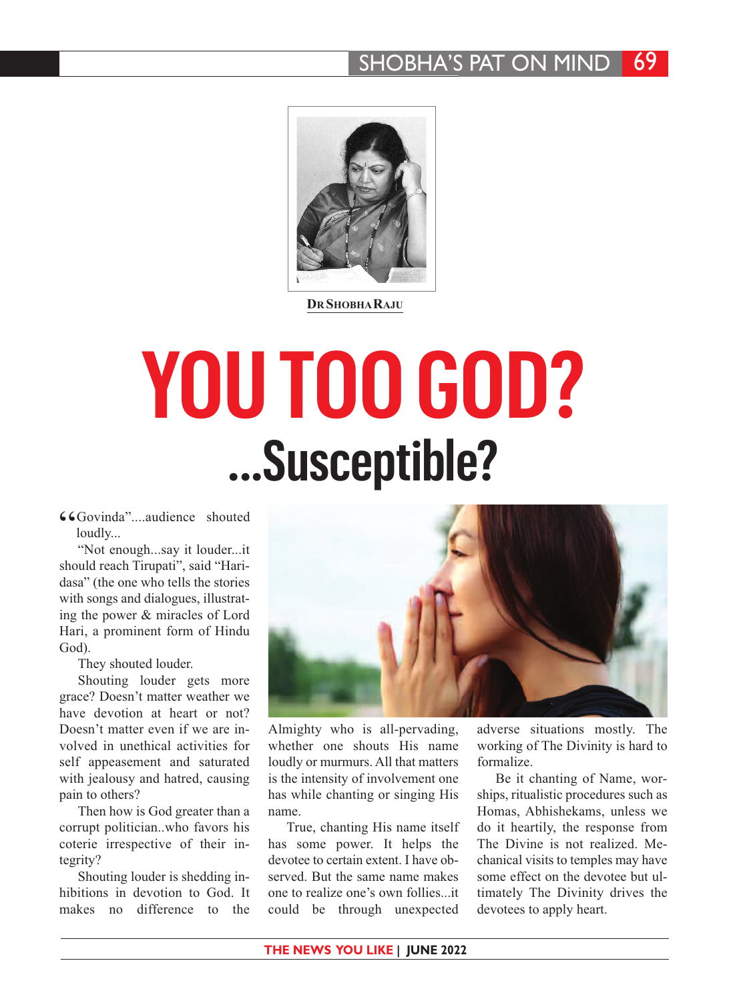## SHOBHA'S PAT ON MIND 69



**DR SHOBHARAJU**

## **YOU TOO GOD? ...Susceptible?**

66Govinda"....audience shouted loudly...

"Not enough...say it louder...it should reach Tirupati", said "Haridasa" (the one who tells the stories with songs and dialogues, illustrating the power & miracles of Lord Hari, a prominent form of Hindu God).

They shouted louder.

Shouting louder gets more grace? Doesn't matter weather we have devotion at heart or not? Doesn't matter even if we are involved in unethical activities for self appeasement and saturated with jealousy and hatred, causing pain to others?

Then how is God greater than a corrupt politician..who favors his coterie irrespective of their integrity?

Shouting louder is shedding inhibitions in devotion to God. It makes no difference to the



Almighty who is all-pervading, whether one shouts His name loudly or murmurs. All that matters is the intensity of involvement one has while chanting or singing His name.

True, chanting His name itself has some power. It helps the devotee to certain extent. I have observed. But the same name makes one to realize one's own follies...it could be through unexpected

adverse situations mostly. The working of The Divinity is hard to formalize.

Be it chanting of Name, worships, ritualistic procedures such as Homas, Abhishekams, unless we do it heartily, the response from The Divine is not realized. Mechanical visits to temples may have some effect on the devotee but ultimately The Divinity drives the devotees to apply heart.